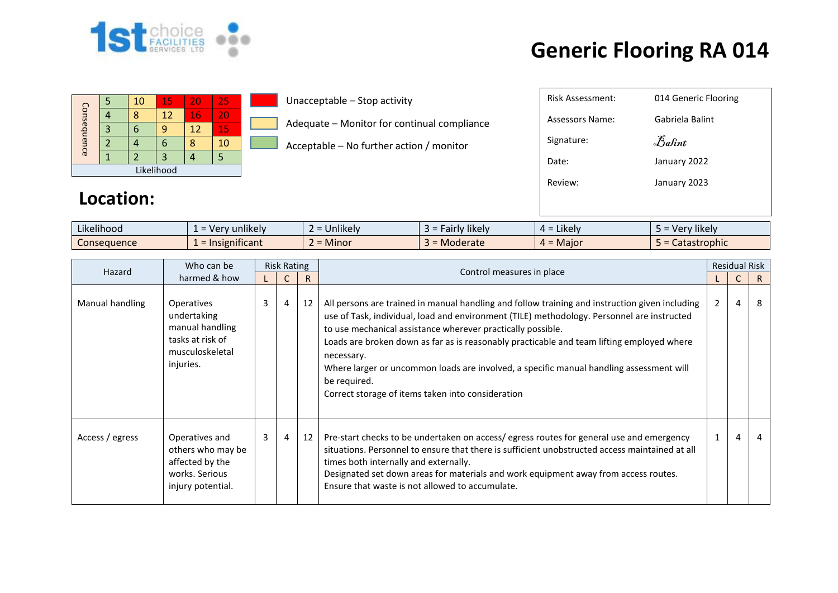

| Consequence |  | 10 | 15 | 20 | 25 |  |  |  |  |
|-------------|--|----|----|----|----|--|--|--|--|
|             |  |    | 12 | 16 | 20 |  |  |  |  |
|             |  |    |    | 12 | 15 |  |  |  |  |
|             |  |    |    |    | 10 |  |  |  |  |
|             |  |    |    |    |    |  |  |  |  |
| Likelihood  |  |    |    |    |    |  |  |  |  |

Unacceptable – Stop activity

Adequate – Monitor for continual compliance

Acceptable – No further action / monitor

| Risk Assessment: | 014 Generic Flooring |
|------------------|----------------------|
| Assessors Name:  | Gabriela Balint      |
| Signature:       | Balint               |
| Date:            | January 2022         |
| Review:          | January 2023         |
|                  |                      |

#### **Location:**

| Likelihood  | unlikely<br>- ver<br>$\overline{\phantom{0}}$ | $\cdots$<br>Unlikely | $\cdots$<br><b>'likely</b><br>$\sim$<br>all IV | $\cdot$ .<br>Likely<br>ட - | $\cdots$<br>Very likely<br><u>_</u> |
|-------------|-----------------------------------------------|----------------------|------------------------------------------------|----------------------------|-------------------------------------|
| Consequence | $\cdot$ $\cdot$<br>mificant<br>1215           | Minor                | <b>Moderate</b>                                | = Maior<br>$\mathbf{A}$ =  | astrophic<br>calast                 |

| Hazard          | Who can be                                                                                              | <b>Risk Rating</b> |                |    | Control measures in place                                                                                                                                                                                                                                                                                                                                                                                                                                                                                                              |                | <b>Residual Risk</b> |    |
|-----------------|---------------------------------------------------------------------------------------------------------|--------------------|----------------|----|----------------------------------------------------------------------------------------------------------------------------------------------------------------------------------------------------------------------------------------------------------------------------------------------------------------------------------------------------------------------------------------------------------------------------------------------------------------------------------------------------------------------------------------|----------------|----------------------|----|
|                 | harmed & how                                                                                            |                    |                | R  |                                                                                                                                                                                                                                                                                                                                                                                                                                                                                                                                        |                | $\mathsf{C}$         | R. |
| Manual handling | <b>Operatives</b><br>undertaking<br>manual handling<br>tasks at risk of<br>musculoskeletal<br>injuries. | 3                  | 4              | 12 | All persons are trained in manual handling and follow training and instruction given including<br>use of Task, individual, load and environment (TILE) methodology. Personnel are instructed<br>to use mechanical assistance wherever practically possible.<br>Loads are broken down as far as is reasonably practicable and team lifting employed where<br>necessary.<br>Where larger or uncommon loads are involved, a specific manual handling assessment will<br>be required.<br>Correct storage of items taken into consideration | $\overline{2}$ | 4                    | 8  |
| Access / egress | Operatives and<br>others who may be<br>affected by the<br>works. Serious<br>injury potential.           | $\overline{3}$     | $\overline{4}$ | 12 | Pre-start checks to be undertaken on access/egress routes for general use and emergency<br>situations. Personnel to ensure that there is sufficient unobstructed access maintained at all<br>times both internally and externally.<br>Designated set down areas for materials and work equipment away from access routes.<br>Ensure that waste is not allowed to accumulate.                                                                                                                                                           |                | $\overline{4}$       |    |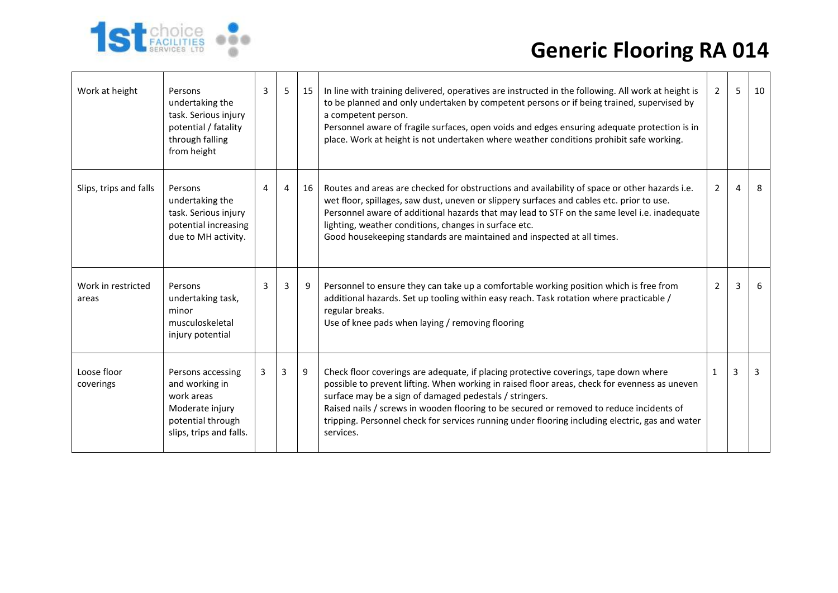

| Work at height              | Persons<br>undertaking the<br>task. Serious injury<br>potential / fatality<br>through falling<br>from height         | 3 | 5 <sub>1</sub> | 15 | In line with training delivered, operatives are instructed in the following. All work at height is<br>to be planned and only undertaken by competent persons or if being trained, supervised by<br>a competent person.<br>Personnel aware of fragile surfaces, open voids and edges ensuring adequate protection is in<br>place. Work at height is not undertaken where weather conditions prohibit safe working.                                            | $2^{\circ}$    | 5              | 10 |
|-----------------------------|----------------------------------------------------------------------------------------------------------------------|---|----------------|----|--------------------------------------------------------------------------------------------------------------------------------------------------------------------------------------------------------------------------------------------------------------------------------------------------------------------------------------------------------------------------------------------------------------------------------------------------------------|----------------|----------------|----|
| Slips, trips and falls      | Persons<br>undertaking the<br>task. Serious injury<br>potential increasing<br>due to MH activity.                    | 4 | $\overline{4}$ | 16 | Routes and areas are checked for obstructions and availability of space or other hazards i.e.<br>wet floor, spillages, saw dust, uneven or slippery surfaces and cables etc. prior to use.<br>Personnel aware of additional hazards that may lead to STF on the same level i.e. inadequate<br>lighting, weather conditions, changes in surface etc.<br>Good housekeeping standards are maintained and inspected at all times.                                | $\overline{2}$ | $\overline{4}$ | 8  |
| Work in restricted<br>areas | Persons<br>undertaking task,<br>minor<br>musculoskeletal<br>injury potential                                         | 3 | 3              | 9  | Personnel to ensure they can take up a comfortable working position which is free from<br>additional hazards. Set up tooling within easy reach. Task rotation where practicable /<br>regular breaks.<br>Use of knee pads when laying / removing flooring                                                                                                                                                                                                     | $\overline{2}$ | 3              | -6 |
| Loose floor<br>coverings    | Persons accessing<br>and working in<br>work areas<br>Moderate injury<br>potential through<br>slips, trips and falls. | 3 | 3              | 9  | Check floor coverings are adequate, if placing protective coverings, tape down where<br>possible to prevent lifting. When working in raised floor areas, check for evenness as uneven<br>surface may be a sign of damaged pedestals / stringers.<br>Raised nails / screws in wooden flooring to be secured or removed to reduce incidents of<br>tripping. Personnel check for services running under flooring including electric, gas and water<br>services. | $\mathbf{1}$   | 3              | 3  |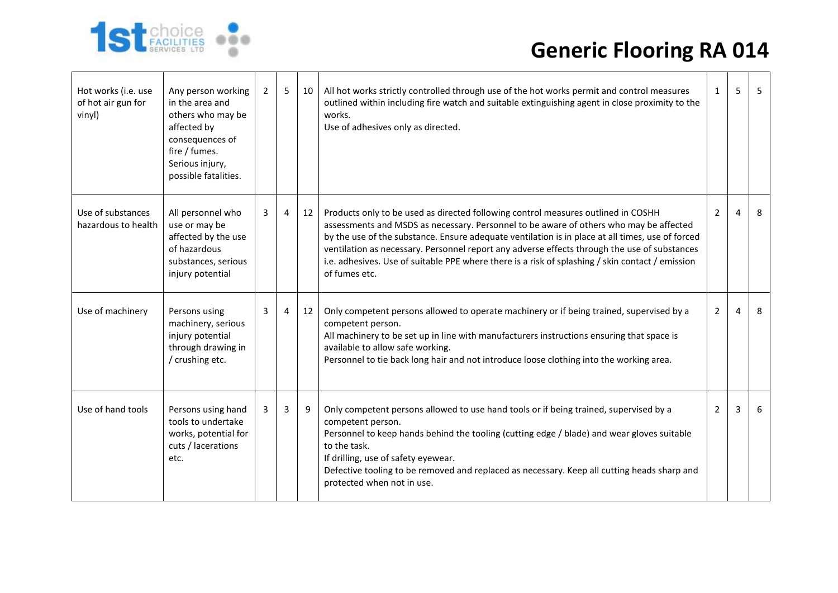

| Hot works (i.e. use<br>of hot air gun for<br>vinyl) | Any person working<br>in the area and<br>others who may be<br>affected by<br>consequences of<br>fire / fumes.<br>Serious injury,<br>possible fatalities. | $\overline{2}$ | 5 | 10 | All hot works strictly controlled through use of the hot works permit and control measures<br>outlined within including fire watch and suitable extinguishing agent in close proximity to the<br>works.<br>Use of adhesives only as directed.                                                                                                                                                                                                                                                        | $\mathbf{1}$   | 5              | 5 |
|-----------------------------------------------------|----------------------------------------------------------------------------------------------------------------------------------------------------------|----------------|---|----|------------------------------------------------------------------------------------------------------------------------------------------------------------------------------------------------------------------------------------------------------------------------------------------------------------------------------------------------------------------------------------------------------------------------------------------------------------------------------------------------------|----------------|----------------|---|
| Use of substances<br>hazardous to health            | All personnel who<br>use or may be<br>affected by the use<br>of hazardous<br>substances, serious<br>injury potential                                     | 3              | 4 | 12 | Products only to be used as directed following control measures outlined in COSHH<br>assessments and MSDS as necessary. Personnel to be aware of others who may be affected<br>by the use of the substance. Ensure adequate ventilation is in place at all times, use of forced<br>ventilation as necessary. Personnel report any adverse effects through the use of substances<br>i.e. adhesives. Use of suitable PPE where there is a risk of splashing / skin contact / emission<br>of fumes etc. | $\mathbf{2}$   | $\overline{a}$ | 8 |
| Use of machinery                                    | Persons using<br>machinery, serious<br>injury potential<br>through drawing in<br>/ crushing etc.                                                         | 3              | 4 | 12 | Only competent persons allowed to operate machinery or if being trained, supervised by a<br>competent person.<br>All machinery to be set up in line with manufacturers instructions ensuring that space is<br>available to allow safe working.<br>Personnel to tie back long hair and not introduce loose clothing into the working area.                                                                                                                                                            | $2^{\circ}$    | $\overline{a}$ | 8 |
| Use of hand tools                                   | Persons using hand<br>tools to undertake<br>works, potential for<br>cuts / lacerations<br>etc.                                                           | 3              | 3 | 9  | Only competent persons allowed to use hand tools or if being trained, supervised by a<br>competent person.<br>Personnel to keep hands behind the tooling (cutting edge / blade) and wear gloves suitable<br>to the task.<br>If drilling, use of safety eyewear.<br>Defective tooling to be removed and replaced as necessary. Keep all cutting heads sharp and<br>protected when not in use.                                                                                                         | $\overline{2}$ | 3              | 6 |